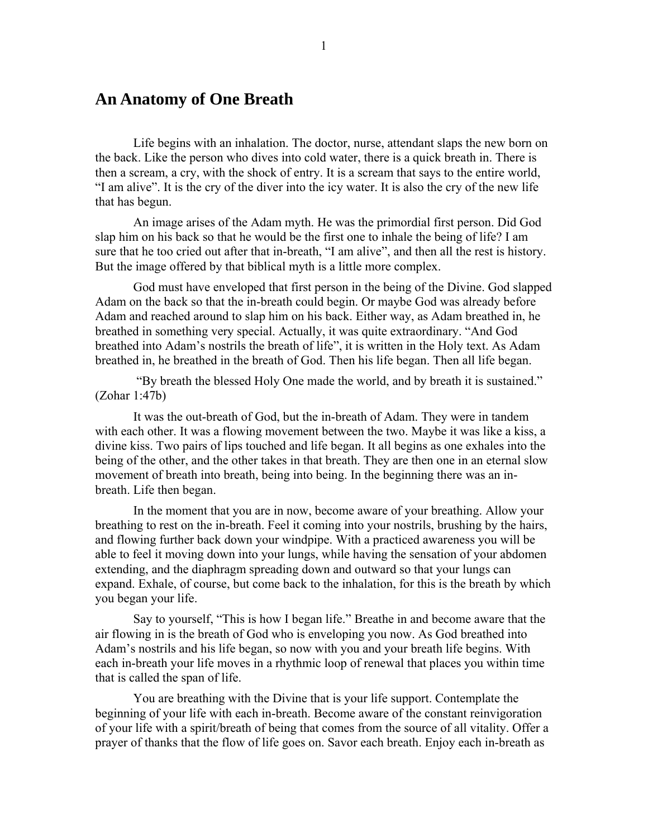## **An Anatomy of One Breath**

 Life begins with an inhalation. The doctor, nurse, attendant slaps the new born on the back. Like the person who dives into cold water, there is a quick breath in. There is then a scream, a cry, with the shock of entry. It is a scream that says to the entire world, "I am alive". It is the cry of the diver into the icy water. It is also the cry of the new life that has begun.

 An image arises of the Adam myth. He was the primordial first person. Did God slap him on his back so that he would be the first one to inhale the being of life? I am sure that he too cried out after that in-breath, "I am alive", and then all the rest is history. But the image offered by that biblical myth is a little more complex.

 God must have enveloped that first person in the being of the Divine. God slapped Adam on the back so that the in-breath could begin. Or maybe God was already before Adam and reached around to slap him on his back. Either way, as Adam breathed in, he breathed in something very special. Actually, it was quite extraordinary. "And God breathed into Adam's nostrils the breath of life", it is written in the Holy text. As Adam breathed in, he breathed in the breath of God. Then his life began. Then all life began.

 "By breath the blessed Holy One made the world, and by breath it is sustained." (Zohar 1:47b)

 It was the out-breath of God, but the in-breath of Adam. They were in tandem with each other. It was a flowing movement between the two. Maybe it was like a kiss, a divine kiss. Two pairs of lips touched and life began. It all begins as one exhales into the being of the other, and the other takes in that breath. They are then one in an eternal slow movement of breath into breath, being into being. In the beginning there was an inbreath. Life then began.

 In the moment that you are in now, become aware of your breathing. Allow your breathing to rest on the in-breath. Feel it coming into your nostrils, brushing by the hairs, and flowing further back down your windpipe. With a practiced awareness you will be able to feel it moving down into your lungs, while having the sensation of your abdomen extending, and the diaphragm spreading down and outward so that your lungs can expand. Exhale, of course, but come back to the inhalation, for this is the breath by which you began your life.

 Say to yourself, "This is how I began life." Breathe in and become aware that the air flowing in is the breath of God who is enveloping you now. As God breathed into Adam's nostrils and his life began, so now with you and your breath life begins. With each in-breath your life moves in a rhythmic loop of renewal that places you within time that is called the span of life.

 You are breathing with the Divine that is your life support. Contemplate the beginning of your life with each in-breath. Become aware of the constant reinvigoration of your life with a spirit/breath of being that comes from the source of all vitality. Offer a prayer of thanks that the flow of life goes on. Savor each breath. Enjoy each in-breath as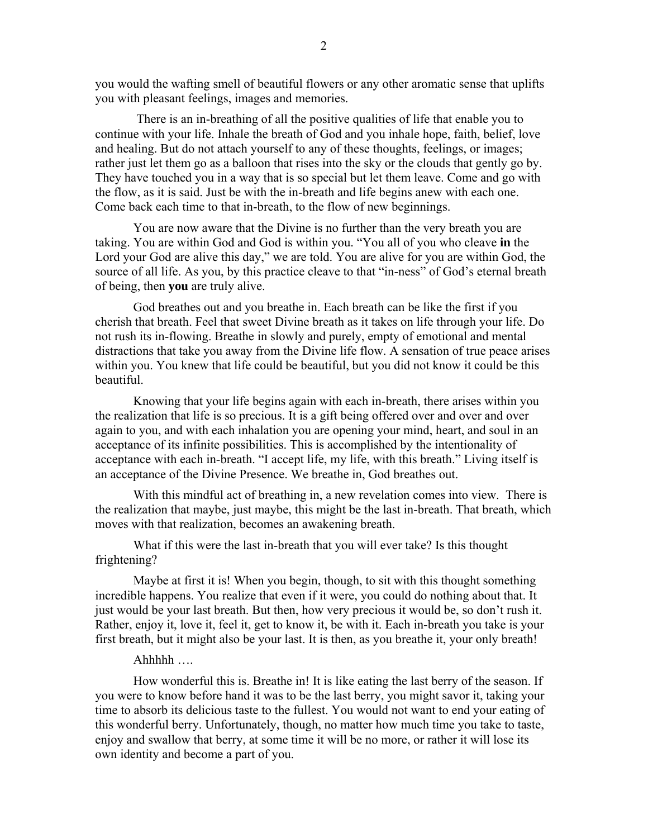you would the wafting smell of beautiful flowers or any other aromatic sense that uplifts you with pleasant feelings, images and memories.

 There is an in-breathing of all the positive qualities of life that enable you to continue with your life. Inhale the breath of God and you inhale hope, faith, belief, love and healing. But do not attach yourself to any of these thoughts, feelings, or images; rather just let them go as a balloon that rises into the sky or the clouds that gently go by. They have touched you in a way that is so special but let them leave. Come and go with the flow, as it is said. Just be with the in-breath and life begins anew with each one. Come back each time to that in-breath, to the flow of new beginnings.

 You are now aware that the Divine is no further than the very breath you are taking. You are within God and God is within you. "You all of you who cleave **in** the Lord your God are alive this day," we are told. You are alive for you are within God, the source of all life. As you, by this practice cleave to that "in-ness" of God's eternal breath of being, then **you** are truly alive.

 God breathes out and you breathe in. Each breath can be like the first if you cherish that breath. Feel that sweet Divine breath as it takes on life through your life. Do not rush its in-flowing. Breathe in slowly and purely, empty of emotional and mental distractions that take you away from the Divine life flow. A sensation of true peace arises within you. You knew that life could be beautiful, but you did not know it could be this beautiful.

 Knowing that your life begins again with each in-breath, there arises within you the realization that life is so precious. It is a gift being offered over and over and over again to you, and with each inhalation you are opening your mind, heart, and soul in an acceptance of its infinite possibilities. This is accomplished by the intentionality of acceptance with each in-breath. "I accept life, my life, with this breath." Living itself is an acceptance of the Divine Presence. We breathe in, God breathes out.

 With this mindful act of breathing in, a new revelation comes into view. There is the realization that maybe, just maybe, this might be the last in-breath. That breath, which moves with that realization, becomes an awakening breath.

 What if this were the last in-breath that you will ever take? Is this thought frightening?

 Maybe at first it is! When you begin, though, to sit with this thought something incredible happens. You realize that even if it were, you could do nothing about that. It just would be your last breath. But then, how very precious it would be, so don't rush it. Rather, enjoy it, love it, feel it, get to know it, be with it. Each in-breath you take is your first breath, but it might also be your last. It is then, as you breathe it, your only breath!

## Ahhhhh ….

 How wonderful this is. Breathe in! It is like eating the last berry of the season. If you were to know before hand it was to be the last berry, you might savor it, taking your time to absorb its delicious taste to the fullest. You would not want to end your eating of this wonderful berry. Unfortunately, though, no matter how much time you take to taste, enjoy and swallow that berry, at some time it will be no more, or rather it will lose its own identity and become a part of you.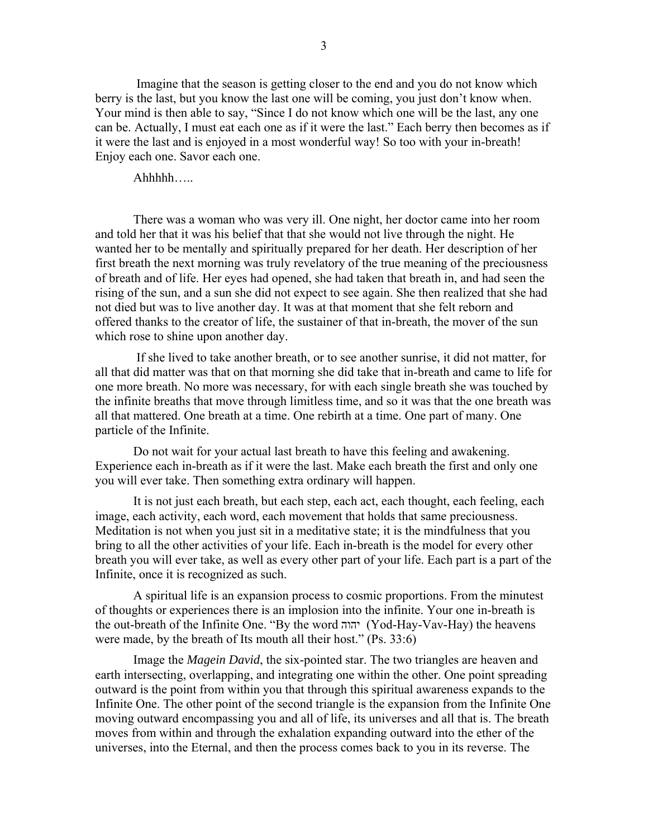Imagine that the season is getting closer to the end and you do not know which berry is the last, but you know the last one will be coming, you just don't know when. Your mind is then able to say, "Since I do not know which one will be the last, any one can be. Actually, I must eat each one as if it were the last." Each berry then becomes as if it were the last and is enjoyed in a most wonderful way! So too with your in-breath! Enjoy each one. Savor each one.

Ahhhhh…..

 There was a woman who was very ill. One night, her doctor came into her room and told her that it was his belief that that she would not live through the night. He wanted her to be mentally and spiritually prepared for her death. Her description of her first breath the next morning was truly revelatory of the true meaning of the preciousness of breath and of life. Her eyes had opened, she had taken that breath in, and had seen the rising of the sun, and a sun she did not expect to see again. She then realized that she had not died but was to live another day. It was at that moment that she felt reborn and offered thanks to the creator of life, the sustainer of that in-breath, the mover of the sun which rose to shine upon another day.

 If she lived to take another breath, or to see another sunrise, it did not matter, for all that did matter was that on that morning she did take that in-breath and came to life for one more breath. No more was necessary, for with each single breath she was touched by the infinite breaths that move through limitless time, and so it was that the one breath was all that mattered. One breath at a time. One rebirth at a time. One part of many. One particle of the Infinite.

 Do not wait for your actual last breath to have this feeling and awakening. Experience each in-breath as if it were the last. Make each breath the first and only one you will ever take. Then something extra ordinary will happen.

 It is not just each breath, but each step, each act, each thought, each feeling, each image, each activity, each word, each movement that holds that same preciousness. Meditation is not when you just sit in a meditative state; it is the mindfulness that you bring to all the other activities of your life. Each in-breath is the model for every other breath you will ever take, as well as every other part of your life. Each part is a part of the Infinite, once it is recognized as such.

 A spiritual life is an expansion process to cosmic proportions. From the minutest of thoughts or experiences there is an implosion into the infinite. Your one in-breath is the out-breath of the Infinite One. "By the word יהוה) Yod-Hay-Vav-Hay) the heavens were made, by the breath of Its mouth all their host." (Ps. 33:6)

 Image the *Magein David*, the six-pointed star. The two triangles are heaven and earth intersecting, overlapping, and integrating one within the other. One point spreading outward is the point from within you that through this spiritual awareness expands to the Infinite One. The other point of the second triangle is the expansion from the Infinite One moving outward encompassing you and all of life, its universes and all that is. The breath moves from within and through the exhalation expanding outward into the ether of the universes, into the Eternal, and then the process comes back to you in its reverse. The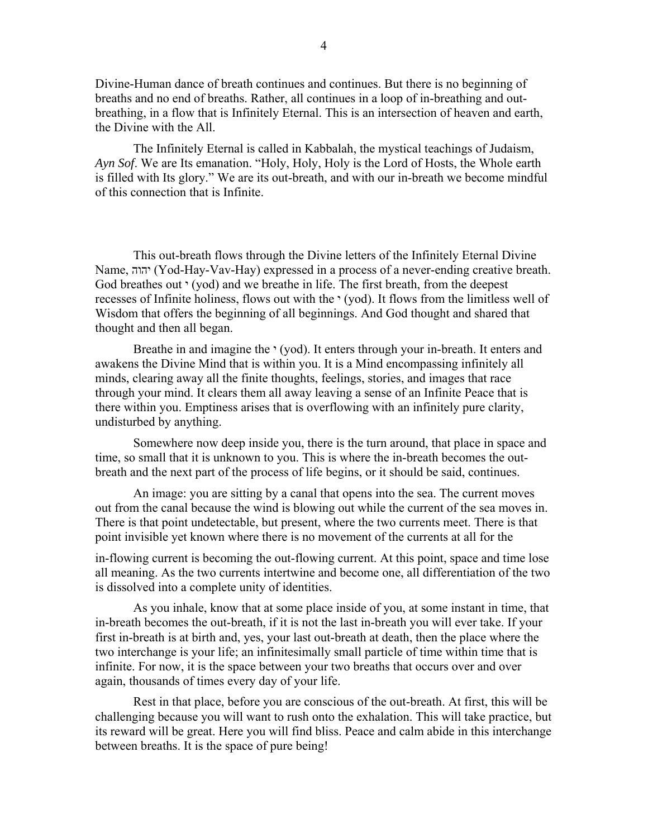Divine-Human dance of breath continues and continues. But there is no beginning of breaths and no end of breaths. Rather, all continues in a loop of in-breathing and outbreathing, in a flow that is Infinitely Eternal. This is an intersection of heaven and earth, the Divine with the All.

 The Infinitely Eternal is called in Kabbalah, the mystical teachings of Judaism, *Ayn Sof*. We are Its emanation. "Holy, Holy, Holy is the Lord of Hosts, the Whole earth is filled with Its glory." We are its out-breath, and with our in-breath we become mindful of this connection that is Infinite.

 This out-breath flows through the Divine letters of the Infinitely Eternal Divine Name, יהוה) Yod-Hay-Vav-Hay) expressed in a process of a never-ending creative breath. God breathes out  $\cdot$  (yod) and we breathe in life. The first breath, from the deepest recesses of Infinite holiness, flows out with the  $\cdot$  (yod). It flows from the limitless well of Wisdom that offers the beginning of all beginnings. And God thought and shared that thought and then all began.

Breathe in and imagine the  $\cdot$  (yod). It enters through your in-breath. It enters and awakens the Divine Mind that is within you. It is a Mind encompassing infinitely all minds, clearing away all the finite thoughts, feelings, stories, and images that race through your mind. It clears them all away leaving a sense of an Infinite Peace that is there within you. Emptiness arises that is overflowing with an infinitely pure clarity, undisturbed by anything.

 Somewhere now deep inside you, there is the turn around, that place in space and time, so small that it is unknown to you. This is where the in-breath becomes the outbreath and the next part of the process of life begins, or it should be said, continues.

 An image: you are sitting by a canal that opens into the sea. The current moves out from the canal because the wind is blowing out while the current of the sea moves in. There is that point undetectable, but present, where the two currents meet. There is that point invisible yet known where there is no movement of the currents at all for the

in-flowing current is becoming the out-flowing current. At this point, space and time lose all meaning. As the two currents intertwine and become one, all differentiation of the two is dissolved into a complete unity of identities.

 As you inhale, know that at some place inside of you, at some instant in time, that in-breath becomes the out-breath, if it is not the last in-breath you will ever take. If your first in-breath is at birth and, yes, your last out-breath at death, then the place where the two interchange is your life; an infinitesimally small particle of time within time that is infinite. For now, it is the space between your two breaths that occurs over and over again, thousands of times every day of your life.

 Rest in that place, before you are conscious of the out-breath. At first, this will be challenging because you will want to rush onto the exhalation. This will take practice, but its reward will be great. Here you will find bliss. Peace and calm abide in this interchange between breaths. It is the space of pure being!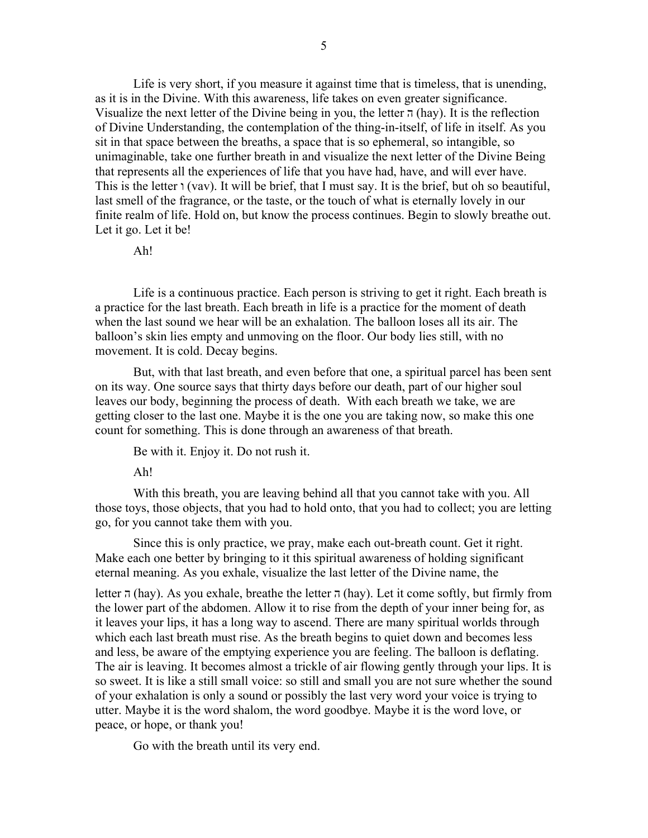Life is very short, if you measure it against time that is timeless, that is unending, as it is in the Divine. With this awareness, life takes on even greater significance. Visualize the next letter of the Divine being in you, the letter  $\pi$  (hay). It is the reflection of Divine Understanding, the contemplation of the thing-in-itself, of life in itself. As you sit in that space between the breaths, a space that is so ephemeral, so intangible, so unimaginable, take one further breath in and visualize the next letter of the Divine Being that represents all the experiences of life that you have had, have, and will ever have. This is the letter  $\iota$  (vav). It will be brief, that I must say. It is the brief, but oh so beautiful, last smell of the fragrance, or the taste, or the touch of what is eternally lovely in our finite realm of life. Hold on, but know the process continues. Begin to slowly breathe out. Let it go. Let it be!

## Ah!

 Life is a continuous practice. Each person is striving to get it right. Each breath is a practice for the last breath. Each breath in life is a practice for the moment of death when the last sound we hear will be an exhalation. The balloon loses all its air. The balloon's skin lies empty and unmoving on the floor. Our body lies still, with no movement. It is cold. Decay begins.

 But, with that last breath, and even before that one, a spiritual parcel has been sent on its way. One source says that thirty days before our death, part of our higher soul leaves our body, beginning the process of death. With each breath we take, we are getting closer to the last one. Maybe it is the one you are taking now, so make this one count for something. This is done through an awareness of that breath.

Be with it. Enjoy it. Do not rush it.

Ah!

 With this breath, you are leaving behind all that you cannot take with you. All those toys, those objects, that you had to hold onto, that you had to collect; you are letting go, for you cannot take them with you.

 Since this is only practice, we pray, make each out-breath count. Get it right. Make each one better by bringing to it this spiritual awareness of holding significant eternal meaning. As you exhale, visualize the last letter of the Divine name, the

letter  $\pi$  (hay). As you exhale, breathe the letter  $\pi$  (hay). Let it come softly, but firmly from the lower part of the abdomen. Allow it to rise from the depth of your inner being for, as it leaves your lips, it has a long way to ascend. There are many spiritual worlds through which each last breath must rise. As the breath begins to quiet down and becomes less and less, be aware of the emptying experience you are feeling. The balloon is deflating. The air is leaving. It becomes almost a trickle of air flowing gently through your lips. It is so sweet. It is like a still small voice: so still and small you are not sure whether the sound of your exhalation is only a sound or possibly the last very word your voice is trying to utter. Maybe it is the word shalom, the word goodbye. Maybe it is the word love, or peace, or hope, or thank you!

Go with the breath until its very end.